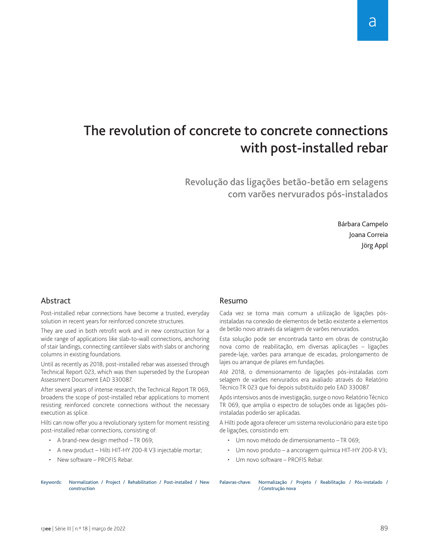# The revolution of concrete to concrete connections with post-installed rebar

Revolução das ligações betão-betão em selagens com varões nervurados pós-instalados

> Bárbara Campelo Joana Correia Jörg Appl

## Abstract

Post-installed rebar connections have become a trusted, everyday solution in recent years for reinforced concrete structures.

They are used in both retrofit work and in new construction for a wide range of applications like slab-to-wall connections, anchoring of stair landings, connecting cantilever slabs with slabs or anchoring columns in existing foundations.

Until as recently as 2018, post-installed rebar was assessed through Technical Report 023, which was then superseded by the European Assessment Document EAD 330087.

After several years of intense research, the Technical Report TR 069, broadens the scope of post-installed rebar applications to moment resisting reinforced concrete connections without the necessary execution as splice.

Hilti can now offer you a revolutionary system for moment resisting post-installed rebar connections, consisting of:

- A brand-new design method TR 069;
- • A new product Hilti HIT-HY 200-R V3 injectable mortar;
- New software PROFIS Rebar.

#### Resumo

Cada vez se torna mais comum a utilização de ligações pósinstaladas na conexão de elementos de betão existente a elementos de betão novo através da selagem de varões nervurados.

Esta solução pode ser encontrada tanto em obras de construção nova como de reabilitação, em diversas aplicações – ligações parede-laje, varões para arranque de escadas, prolongamento de lajes ou arranque de pilares em fundações.

Até 2018, o dimensionamento de ligações pós-instaladas com selagem de varões nervurados era avaliado através do Relatório Técnico TR 023 que foi depois substituído pelo EAD 330087.

Após intensivos anos de investigação, surge o novo Relatório Técnico TR 069, que amplia o espectro de soluções onde as ligações pósinstaladas poderão ser aplicadas.

A Hilti pode agora oferecer um sistema revolucionário para este tipo de ligações, consistindo em:

- Um novo método de dimensionamento TR 069;
- Um novo produto a ancoragem química HIT-HY 200-R V3;
- Um novo software PROFIS Rebar.

Keywords: Normalization / Project / Rehabilitation / Post-installed / New construction

Palavras-chave: Normalização / Projeto / Reabilitação / Pós-instalado / / Construção nova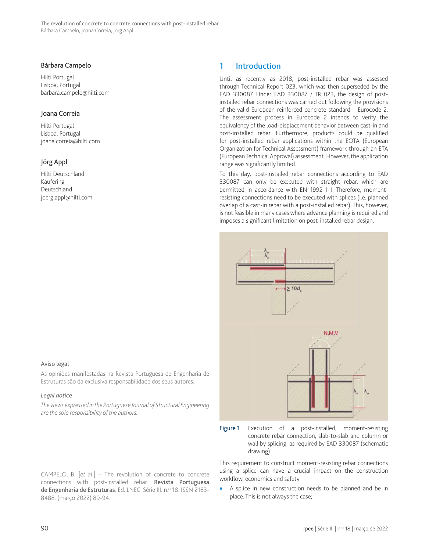#### Bárbara Campelo

Hilti Portugal Lisboa, Portugal barbara.campelo@hilti.com

#### Joana Correia

Hilti Portugal Lisboa, Portugal joana.correia@hilti.com

## Jörg Appl

Hilti Deutschland Kaufering Deutschland joerg.appl@hilti.com

#### Aviso legal

As opiniões manifestadas na Revista Portuguesa de Engenharia de Estruturas são da exclusiva responsabilidade dos seus autores.

#### *Legal notice*

*The views expressed in the Portuguese Journal of Structural Engineering are the sole responsibility of the authors.*

CAMPELO, B. [*et al*.] – The revolution of concrete to concrete connections with post-installed rebar. Revista Portuguesa de Engenharia de Estruturas. Ed. LNEC. Série III. n.º 18. ISSN 2183-8488. (março 2022) 89-94.

## 1 Introduction

Until as recently as 2018, post-installed rebar was assessed through Technical Report 023, which was then superseded by the EAD 330087. Under EAD 330087 / TR 023, the design of postinstalled rebar connections was carried out following the provisions of the valid European reinforced concrete standard – Eurocode 2. The assessment process in Eurocode 2 intends to verify the equivalency of the load-displacement behavior between cast-in and post-installed rebar. Furthermore, products could be qualified for post-installed rebar applications within the EOTA (European Organization for Technical Assessment) framework through an ETA (European Technical Approval) assessment. However, the application range was significantly limited.

To this day, post-installed rebar connections according to EAD 330087 can only be executed with straight rebar, which are permitted in accordance with EN 1992-1-1. Therefore, momentresisting connections need to be executed with splices (i.e. planned overlap of a cast-in rebar with a post-installed rebar). This, however, is not feasible in many cases where advance planning is required and imposes a significant limitation on post-installed rebar design.





This requirement to construct moment-resisting rebar connections using a splice can have a crucial impact on the construction workflow, economics and safety:

• A splice in new construction needs to be planned and be in place. This is not always the case;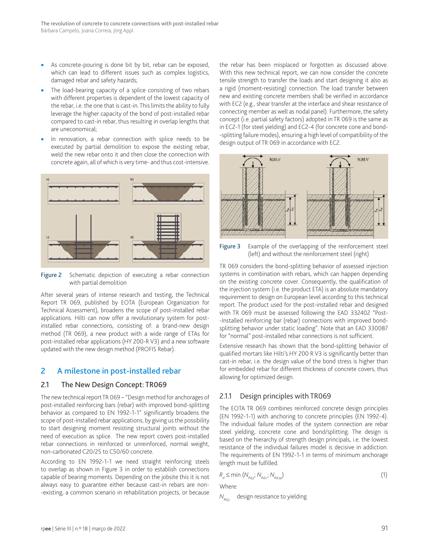- As concrete-pouring is done bit by bit, rebar can be exposed, which can lead to different issues such as complex logistics, damaged rebar and safety hazards;
- The load-bearing capacity of a splice consisting of two rebars with different properties is dependent of the lowest capacity of the rebar, i.e. the one that is cast-in. This limits the ability to fully leverage the higher capacity of the bond of post-installed rebar compared to cast-in rebar, thus resulting in overlap lengths that are uneconomical;
- In renovation, a rebar connection with splice needs to be executed by partial demolition to expose the existing rebar, weld the new rebar onto it and then close the connection with concrete again, all of which is very time- and thus cost-intensive.



Figure 2 Schematic depiction of executing a rebar connection with partial demolition

After several years of intense research and testing, the Technical Report TR 069, published by EOTA (European Organization for Technical Assessment), broadens the scope of post-installed rebar applications. Hilti can now offer a revolutionary system for postinstalled rebar connections, consisting of: a brand-new design method (TR 069), a new product with a wide range of ETAs for post-installed rebar applications (HY 200-R V3) and a new software updated with the new design method (PROFIS Rebar).

## 2 A milestone in post-installed rebar

#### 2.1 The New Design Concept: TR069

The new technical report TR 069 – "Design method for anchorages of post-installed reinforcing bars (rebar) with improved bond-splitting behavior as compared to EN 1992-1-1" significantly broadens the scope of post-installed rebar applications, by giving us the possibility to start designing moment resisting structural joints without the need of execution as splice. The new report covers post-installed rebar connections in reinforced or unreinforced, normal weight, non-carbonated C20/25 to C50/60 concrete.

According to EN 1992-1-1 we need straight reinforcing steels to overlap as shown in Figure 3 in order to establish connections capable of bearing moments. Depending on the jobsite this it is not always easy to guarantee either because cast-in rebars are non- -existing, a common scenario in rehabilitation projects, or because

the rebar has been misplaced or forgotten as discussed above. With this new technical report, we can now consider the concrete tensile strength to transfer the loads and start designing it also as a rigid (moment-resisting) connection. The load transfer between new and existing concrete members shall be verified in accordance with EC2 (e.g., shear transfer at the interface and shear resistance of connecting member as well as nodal panel). Furthermore, the safety concept (i.e. partial safety factors) adopted in TR 069 is the same as in EC2-1 (for steel yielding) and EC2-4 (for concrete cone and bond- -splitting failure modes), ensuring a high level of compatibility of the design output of TR 069 in accordance with EC2.



Figure 3 Example of the overlapping of the reinforcement steel (left) and without the reinforcement steel (right)

TR 069 considers the bond-splitting behavior of assessed injection systems in combination with rebars, which can happen depending on the existing concrete cover. Consequently, the qualification of the injection system (i.e. the product ETA) is an absolute mandatory requirement to design on European level according to this technical report. The product used for the post-installed rebar and designed with TR 069 must be assessed following the EAD 332402 "Post- -Installed reinforcing bar (rebar) connections with improved bondsplitting behavior under static loading". Note that an EAD 330087 for "normal" post-installed rebar connections is not sufficient.

Extensive research has shown that the bond-splitting behavior of qualified mortars like Hilti's HY 200 R V3 is significantly better than cast-in rebar, i.e. the design value of the bond stress is higher than for embedded rebar for different thickness of concrete covers, thus allowing for optimized design.

## 2.1.1 Design principles with TR069

The EOTA TR 069 combines reinforced concrete design principles (EN 1992-1-1) with anchoring to concrete principles (EN 1992-4). The individual failure modes of the system connection are rebar steel yielding, concrete cone and bond/splitting. The design is based on the hierarchy of strength design principals, i.e. the lowest resistance of the individual failures model is decisive in addiction. The requirements of EN 1992-1-1 in terms of minimum anchorage length must be fulfilled.

$$
R_d \le \min \left( N_{\text{Rdy}^i}, N_{\text{Rdz}^i}, N_{\text{Rdz}^i} \right) \tag{1}
$$

Where:

*N<sub>Rdv</sub>* design resistance to yielding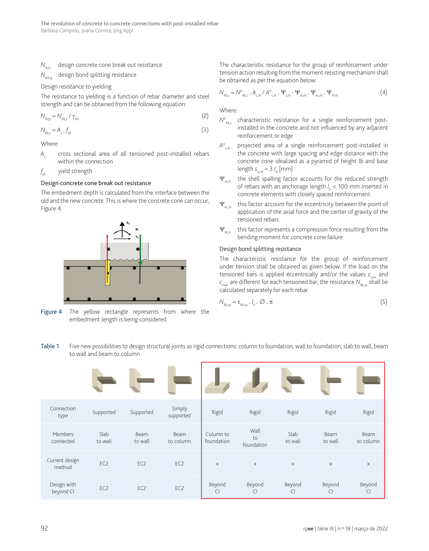#### *N<sub>nds</sub>* design concrete cone break out resistance

*N<sub>pdcp</sub>* design bond splitting resistance

Design resistance to yielding

The resistance to yielding is a function of rebar diameter and steel strength and can be obtained from the following equation:

$$
N_{\rm Rdy} = N_{\rm Rky} / \gamma_{\rm Ms} \tag{2}
$$

$$
N_{\kappa k y} = A_s \cdot f_{yk} \tag{3}
$$

Where:

A<sub>s</sub> cross sectional area of all tensioned post-installed rebars within the connection

 $f_{\mathsf{v}\mathsf{k}}$ *yk* yield strength

#### Design concrete cone break out resistance

The embedment depth is calculated from the interface between the old and the new concrete. This is where the concrete cone can occur, Figure 4.



Figure 4 The yellow rectangle represents from where the embedment length is being considered

The characteristic resistance for the group of reinforcement under tension action resulting from the moment resisting mechanism shall be obtained as per the equation below:

$$
N_{_{Rk,c}} = N_{_{Rk,c}}^{\circ} \cdot A_{_{c,N}} / A_{_{c,N}}^{\circ} \cdot \Psi_{_{s,N}} \cdot \Psi_{_{re,N}} \cdot \Psi_{_{ec,N}} \cdot \Psi_{_{M,N}}
$$
(4)

Where:

- $N^0_{\ \, \text{\tiny Rk.c}}$ characteristic resistance for a single reinforcement postinstalled in the concrete and not influenced by any adjacent reinforcement or edge
- $A^{\circ}_{cN}$ projected area of a single reinforcement post-installed in the concrete with large spacing and edge distance with the concrete cone idealized as a pyramid of height lb and base  $length s_{c,r,N} = 3 l_b$  [mm]
- Ψ*re,N* the shell spalling factor accounts for the reduced strength of rebars with an anchorage length *l <sup>b</sup>* < 100 mm inserted in concrete elements with closely spaced reinforcement
- Ψ<sub>*ecM*</sub> this factor account for the eccentricity between the point of application of the axial force and the center of gravity of the tensioned rebars
- Ψ<sub>*MN*</sub> this factor represents a compression force resulting from the bending moment for concrete cone failure

#### Design bond splitting resistance

The characteristic resistance for the group of reinforcement under tension shall be obtained as given below. If the load on the tensioned bars is applied eccentrically and/or the values  $c_{min}$  and  $c_{\text{max}}$  are different for each tensioned bar, the resistance  $N_{\text{Rk}}$ <sub>os</sub> shall be calculated separately for each rebar.

$$
N_{\kappa_{ksp}} = \tau_{\kappa_{ksp}} \cdot l_b \cdot \varnothing \cdot \pi \tag{5}
$$

Table 1 Five new possibilities to design structural joints as rigid connections: column to foundation, wall to foundation, slab to wall, beam to wall and beam to column

| Connection<br>type       | Supported       | Supported              | Simply<br>supported | Rigid                   | Rigid                    | Rigid                    | Rigid                    | Rigid                    |
|--------------------------|-----------------|------------------------|---------------------|-------------------------|--------------------------|--------------------------|--------------------------|--------------------------|
| Members<br>connected     | Slab<br>to wall | <b>Beam</b><br>to wall | Beam<br>to column   | Column to<br>foundation | Wall<br>to<br>foundation | Slab<br>to wall          | Beam<br>to wall          | Beam<br>to column        |
| Current design<br>method | EC <sub>2</sub> | EC <sub>2</sub>        | EC <sub>2</sub>     | $\mathsf{X}$            | $\times$                 | $\times$                 | $\times$                 | $\times$                 |
| Design with<br>beyond CI | EC <sub>2</sub> | EC <sub>2</sub>        | EC <sub>2</sub>     | Beyond<br>C             | Beyond<br>$\overline{C}$ | Beyond<br>$\overline{C}$ | Beyond<br>$\overline{C}$ | Beyond<br>$\overline{C}$ |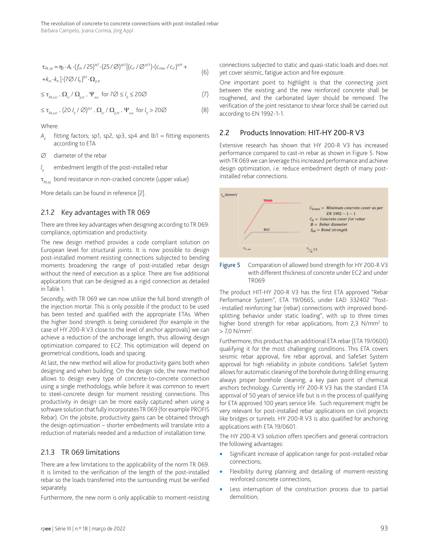$$
\tau_{Rk,sp} = \eta_1 \cdot A_k \cdot (f_{ck} / 25)^{sp1} \cdot (25 / \emptyset)^{sp2} [(c_d / \emptyset^{sp3}) \cdot (c_{max} / c_d)^{sp4} ++k_m \cdot k_{tr}] \cdot (7 \emptyset / l_b)^{sp1} \cdot \Omega_{p,tr}
$$
\n(6)

$$
\leq \tau_{Rk,uc}, \Omega_{cr} / \Omega_{\rho,tr} \cdot \Psi_{sus} \text{ for } 7\varnothing \leq l_b \leq 20\varnothing
$$
 (7)

 $\leq \tau_{Rk,ucr}$  . (20  $l_b / \varnothing$ )<sup> $\upbeta$ 1</sup> .  $\Omega_{cr} / \Omega_{p,tt}$  .  $\Psi_{sus}$  for  $l_b > 20\varnothing$  (8)

Where:

*Ak* fitting factors; sp1, sp2, sp3, sp4 and lb1 = fitting exponents according to ETA

∅ diameter of the rebar

*l <sup>b</sup>* embedment length of the post-installed rebar

bond resistance in non-cracked concrete (upper value)

More details can be found in reference [2].

#### 2.1.2 Key advantages with TR 069

There are three key advantages when designing according to TR 069: compliance, optimization and productivity.

The new design method provides a code compliant solution on European level for structural joints. It is now possible to design post-installed moment resisting connections subjected to bending moments broadening the range of post-installed rebar design without the need of execution as a splice. There are five additional applications that can be designed as a rigid connection as detailed in Table 1.

Secondly, with TR 069 we can now utilize the full bond strength of the injection mortar. This is only possible if the product to be used has been tested and qualified with the appropriate ETAs. When the higher bond strength is being considered (for example in the case of HY 200-R V3 close to the level of anchor approvals) we can achieve a reduction of the anchorage length, thus allowing design optimization compared to EC2. This optimization will depend on geometrical conditions, loads and spacing.

At last, the new method will allow for productivity gains both when designing and when building. On the design side, the new method allows to design every type of concrete-to-concrete connection using a single methodology, while before it was common to revert to steel-concrete design for moment resisting connections. This productivity in design can be more easily captured when using a software solution that fully incorporates TR 069 (for example PROFIS Rebar). On the jobsite, productivity gains can be obtained through the design optimization – shorter embedments will translate into a reduction of materials needed and a reduction of installation time.

## 2.1.3 TR 069 limitations

There are a few limitations to the applicability of the norm TR 069. It is limited to the verification of the length of the post-installed rebar so the loads transferred into the surrounding must be verified separately.

Furthermore, the new norm is only applicable to moment-resisting

connections subjected to static and quasi-static loads and does not yet cover seismic, fatigue action and fire exposure.

One important point to highlight is that the connecting joint between the existing and the new reinforced concrete shall be roughened, and the carbonated layer should be removed. The verification of the joint resistance to shear force shall be carried out according to EN 1992-1-1.

### 2.2 Products Innovation: HIT-HY 200-R V3

Extensive research has shown that HY 200-R V3 has increased performance compared to cast-in rebar as shown in Figure 5. Now with TR 069 we can leverage this increased performance and achieve design optimization, i.e. reduce embedment depth of many postinstalled rebar connections.





The product HIT-HY 200-R V3 has the first ETA approved "Rebar Performance System", ETA 19/0665, under EAD 332402 "Post- -Installed reinforcing bar (rebar) connections with improved bondsplitting behavior under static loading", with up to three times higher bond strength for rebar applications, from 2,3 N/mm<sup>2</sup> to  $>$  7,0 N/mm<sup>2</sup>.

Furthermore, this product has an additional ETA rebar (ETA 19/0600) qualifying it for the most challenging conditions. This ETA covers seismic rebar approval, fire rebar approval, and SafeSet System approval for high reliability in jobsite conditions. SafeSet System allows for automatic cleaning of the borehole during drilling ensuring always proper borehole cleaning, a key pain point of chemical anchors technology. Currently HY 200-R V3 has the standard ETA approval of 50 years of service life but is in the process of qualifying for ETA approved 100 years service life. Such requirement might be very relevant for post-installed rebar applications on civil projects like bridges or tunnels. HY 200-R V3 is also qualified for anchoring applications with ETA 19/0601.

The HY 200-R V3 solution offers specifiers and general contractors the following advantages:

- Significant increase of application range for post-installed rebar connections;
- Flexibility during planning and detailing of moment-resisting reinforced concrete connections;
- Less interruption of the construction process due to partial demolition;